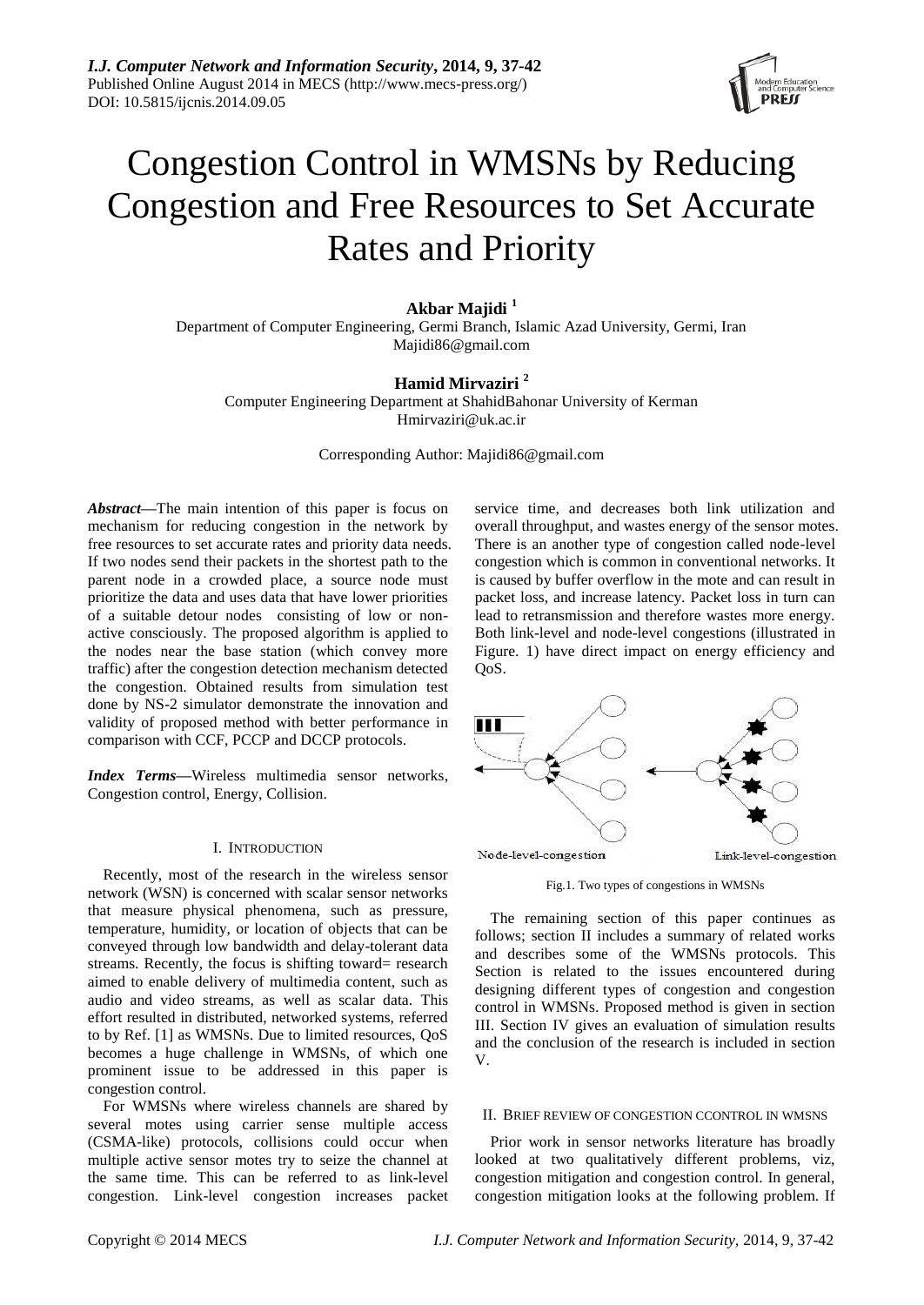

# Congestion Control in WMSNs by Reducing Congestion and Free Resources to Set Accurate Rates and Priority

## **Akbar Majidi <sup>1</sup>**

Department of Computer Engineering, Germi Branch, Islamic Azad University, Germi, Iran [Majidi86@gmail.com](mailto:Majidi86@gmail.com)

# **Hamid Mirvaziri <sup>2</sup>**

Computer Engineering Department at ShahidBahonar University of Kerman [Hmirvaziri@uk.ac.ir](mailto:Hmirvaziri@uk.ac.ir)

Corresponding Author: [Majidi86@gmail.com](mailto:Majidi86@gmail.com)

*Abstract***—**The main intention of this paper is focus on mechanism for reducing congestion in the network by free resources to set accurate rates and priority data needs. If two nodes send their packets in the shortest path to the parent node in a crowded place, a source node must prioritize the data and uses data that have lower priorities of a suitable detour nodes consisting of low or nonactive consciously. The proposed algorithm is applied to the nodes near the base station (which convey more traffic) after the congestion detection mechanism detected the congestion. Obtained results from simulation test done by NS-2 simulator demonstrate the innovation and validity of proposed method with better performance in comparison with CCF, PCCP and DCCP protocols.

*Index Terms***—**Wireless multimedia sensor networks, Congestion control, Energy, Collision.

### I. INTRODUCTION

Recently, most of the research in the wireless sensor network (WSN) is concerned with scalar sensor networks that measure physical phenomena, such as pressure, temperature, humidity, or location of objects that can be conveyed through low bandwidth and delay-tolerant data streams. Recently, the focus is shifting toward= research aimed to enable delivery of multimedia content, such as audio and video streams, as well as scalar data. This effort resulted in distributed, networked systems, referred to by Ref. [1] as WMSNs. Due to limited resources, QoS becomes a huge challenge in WMSNs, of which one prominent issue to be addressed in this paper is congestion control.

For WMSNs where wireless channels are shared by several motes using carrier sense multiple access (CSMA-like) protocols, collisions could occur when multiple active sensor motes try to seize the channel at the same time. This can be referred to as link-level congestion. Link-level congestion increases packet service time, and decreases both link utilization and overall throughput, and wastes energy of the sensor motes. There is an another type of congestion called node-level congestion which is common in conventional networks. It is caused by buffer overflow in the mote and can result in packet loss, and increase latency. Packet loss in turn can lead to retransmission and therefore wastes more energy. Both link-level and node-level congestions (illustrated in Figure. 1) have direct impact on energy efficiency and QoS.



Fig.1. Two types of congestions in WMSNs

The remaining section of this paper continues as follows; section II includes a summary of related works and describes some of the WMSNs protocols. This Section is related to the issues encountered during designing different types of congestion and congestion control in WMSNs. Proposed method is given in section III. Section IV gives an evaluation of simulation results and the conclusion of the research is included in section V.

#### II. BRIEF REVIEW OF CONGESTION CCONTROL IN WMSNS

Prior work in sensor networks literature has broadly looked at two qualitatively different problems, viz, congestion mitigation and congestion control. In general, congestion mitigation looks at the following problem. If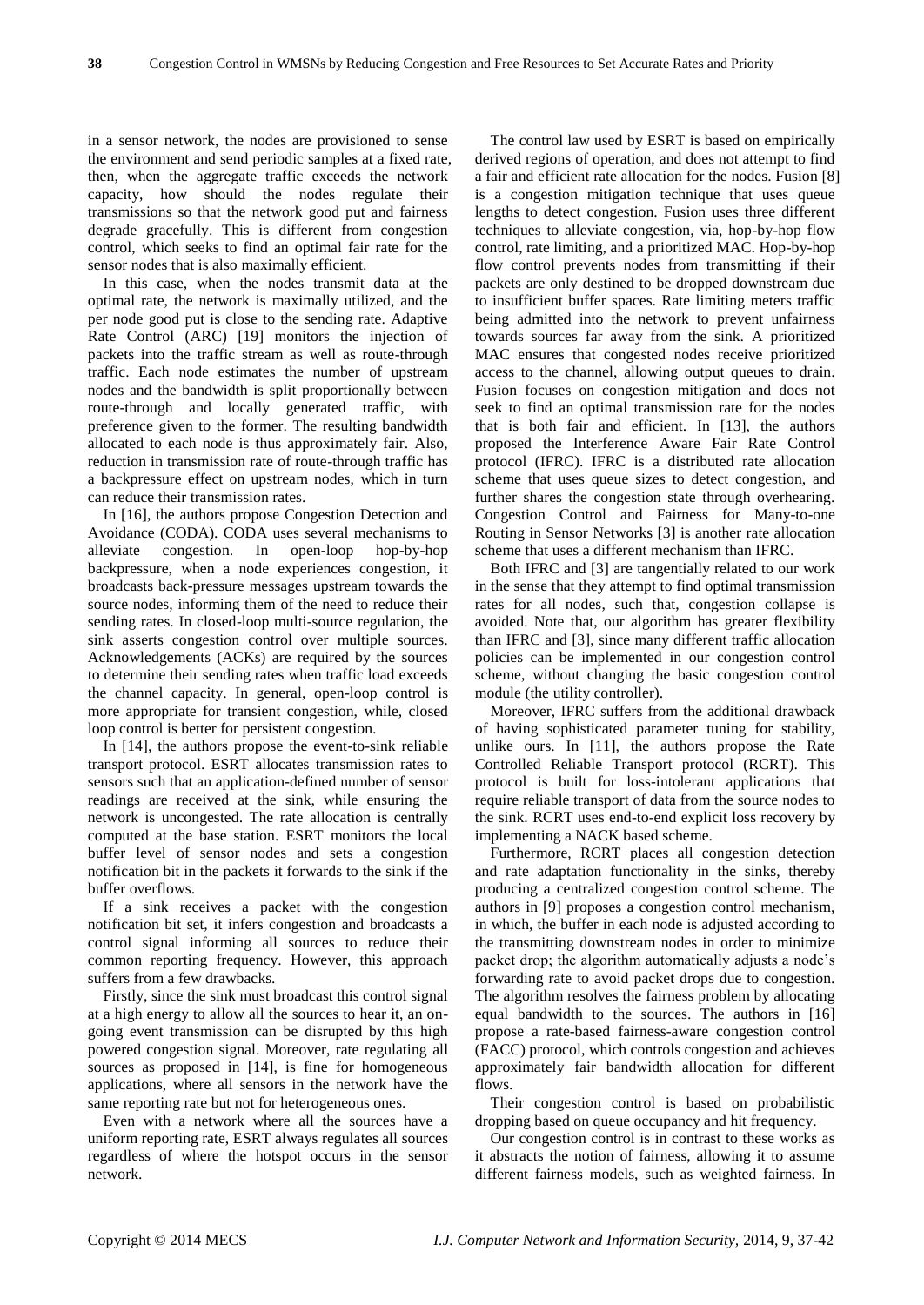in a sensor network, the nodes are provisioned to sense the environment and send periodic samples at a fixed rate, then, when the aggregate traffic exceeds the network capacity, how should the nodes regulate their transmissions so that the network good put and fairness degrade gracefully. This is different from congestion control, which seeks to find an optimal fair rate for the sensor nodes that is also maximally efficient.

In this case, when the nodes transmit data at the optimal rate, the network is maximally utilized, and the per node good put is close to the sending rate. Adaptive Rate Control (ARC) [19] monitors the injection of packets into the traffic stream as well as route-through traffic. Each node estimates the number of upstream nodes and the bandwidth is split proportionally between route-through and locally generated traffic, with preference given to the former. The resulting bandwidth allocated to each node is thus approximately fair. Also, reduction in transmission rate of route-through traffic has a backpressure effect on upstream nodes, which in turn can reduce their transmission rates.

In [16], the authors propose Congestion Detection and Avoidance (CODA). CODA uses several mechanisms to alleviate congestion. In open-loop hop-by-hop backpressure, when a node experiences congestion, it broadcasts back-pressure messages upstream towards the source nodes, informing them of the need to reduce their sending rates. In closed-loop multi-source regulation, the sink asserts congestion control over multiple sources. Acknowledgements (ACKs) are required by the sources to determine their sending rates when traffic load exceeds the channel capacity. In general, open-loop control is more appropriate for transient congestion, while, closed loop control is better for persistent congestion.

In [14], the authors propose the event-to-sink reliable transport protocol. ESRT allocates transmission rates to sensors such that an application-defined number of sensor readings are received at the sink, while ensuring the network is uncongested. The rate allocation is centrally computed at the base station. ESRT monitors the local buffer level of sensor nodes and sets a congestion notification bit in the packets it forwards to the sink if the buffer overflows.

If a sink receives a packet with the congestion notification bit set, it infers congestion and broadcasts a control signal informing all sources to reduce their common reporting frequency. However, this approach suffers from a few drawbacks.

Firstly, since the sink must broadcast this control signal at a high energy to allow all the sources to hear it, an ongoing event transmission can be disrupted by this high powered congestion signal. Moreover, rate regulating all sources as proposed in [14], is fine for homogeneous applications, where all sensors in the network have the same reporting rate but not for heterogeneous ones.

Even with a network where all the sources have a uniform reporting rate, ESRT always regulates all sources regardless of where the hotspot occurs in the sensor network.

The control law used by ESRT is based on empirically derived regions of operation, and does not attempt to find a fair and efficient rate allocation for the nodes. Fusion [8] is a congestion mitigation technique that uses queue lengths to detect congestion. Fusion uses three different techniques to alleviate congestion, via, hop-by-hop flow control, rate limiting, and a prioritized MAC. Hop-by-hop flow control prevents nodes from transmitting if their packets are only destined to be dropped downstream due to insufficient buffer spaces. Rate limiting meters traffic being admitted into the network to prevent unfairness towards sources far away from the sink. A prioritized MAC ensures that congested nodes receive prioritized access to the channel, allowing output queues to drain. Fusion focuses on congestion mitigation and does not seek to find an optimal transmission rate for the nodes that is both fair and efficient. In [13], the authors proposed the Interference Aware Fair Rate Control protocol (IFRC). IFRC is a distributed rate allocation scheme that uses queue sizes to detect congestion, and further shares the congestion state through overhearing. Congestion Control and Fairness for Many-to-one Routing in Sensor Networks [3] is another rate allocation scheme that uses a different mechanism than IFRC.

Both IFRC and [3] are tangentially related to our work in the sense that they attempt to find optimal transmission rates for all nodes, such that, congestion collapse is avoided. Note that, our algorithm has greater flexibility than IFRC and [3], since many different traffic allocation policies can be implemented in our congestion control scheme, without changing the basic congestion control module (the utility controller).

Moreover, IFRC suffers from the additional drawback of having sophisticated parameter tuning for stability, unlike ours. In [11], the authors propose the Rate Controlled Reliable Transport protocol (RCRT). This protocol is built for loss-intolerant applications that require reliable transport of data from the source nodes to the sink. RCRT uses end-to-end explicit loss recovery by implementing a NACK based scheme.

Furthermore, RCRT places all congestion detection and rate adaptation functionality in the sinks, thereby producing a centralized congestion control scheme. The authors in [9] proposes a congestion control mechanism, in which, the buffer in each node is adjusted according to the transmitting downstream nodes in order to minimize packet drop; the algorithm automatically adjusts a node's forwarding rate to avoid packet drops due to congestion. The algorithm resolves the fairness problem by allocating equal bandwidth to the sources. The authors in [16] propose a rate-based fairness-aware congestion control (FACC) protocol, which controls congestion and achieves approximately fair bandwidth allocation for different flows.

Their congestion control is based on probabilistic dropping based on queue occupancy and hit frequency.

Our congestion control is in contrast to these works as it abstracts the notion of fairness, allowing it to assume different fairness models, such as weighted fairness. In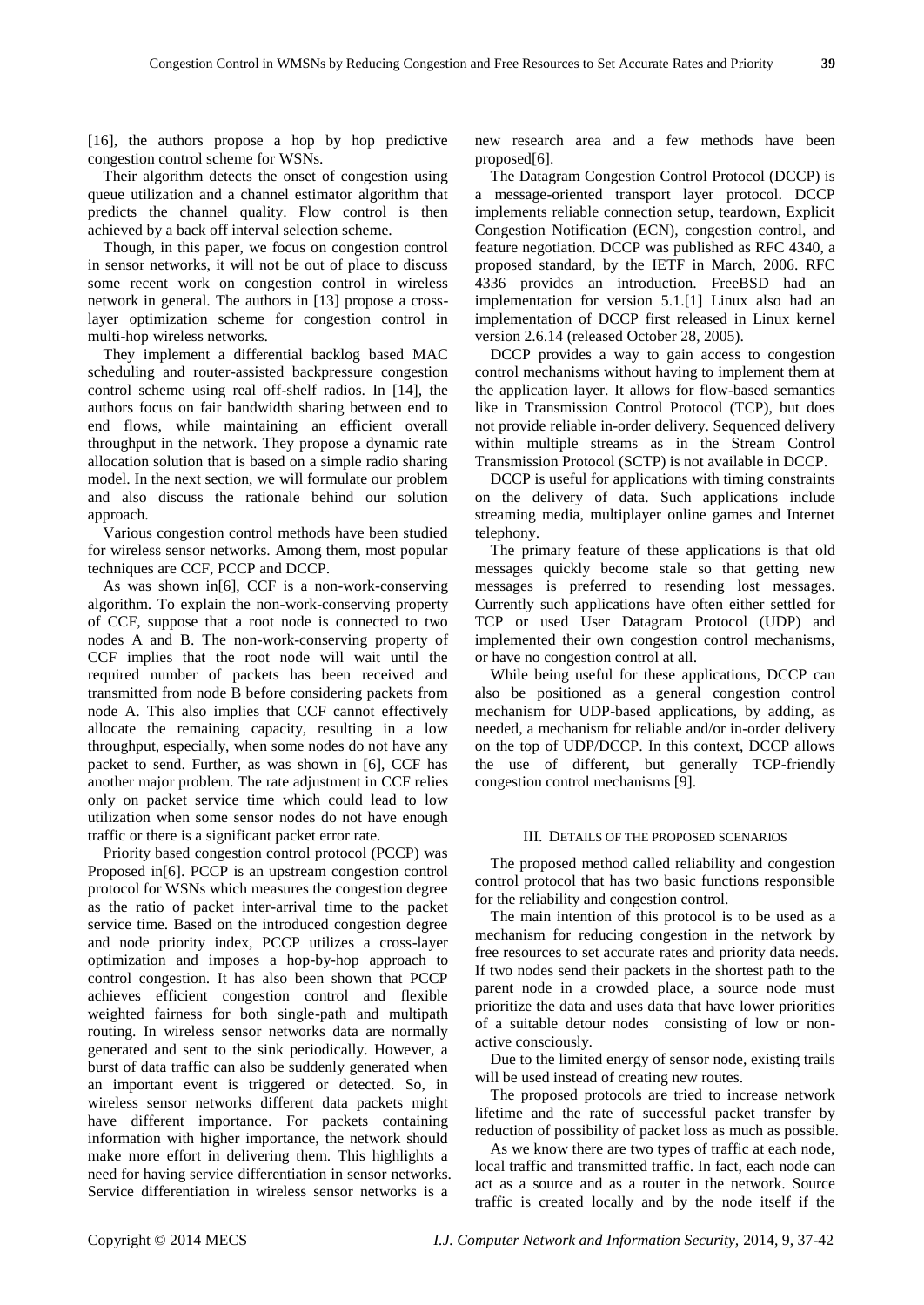[16], the authors propose a hop by hop predictive congestion control scheme for WSNs.

Their algorithm detects the onset of congestion using queue utilization and a channel estimator algorithm that predicts the channel quality. Flow control is then achieved by a back off interval selection scheme.

Though, in this paper, we focus on congestion control in sensor networks, it will not be out of place to discuss some recent work on congestion control in wireless network in general. The authors in [13] propose a crosslayer optimization scheme for congestion control in multi-hop wireless networks.

They implement a differential backlog based MAC scheduling and router-assisted backpressure congestion control scheme using real off-shelf radios. In [14], the authors focus on fair bandwidth sharing between end to end flows, while maintaining an efficient overall throughput in the network. They propose a dynamic rate allocation solution that is based on a simple radio sharing model. In the next section, we will formulate our problem and also discuss the rationale behind our solution approach.

Various congestion control methods have been studied for wireless sensor networks. Among them, most popular techniques are CCF, PCCP and DCCP.

As was shown in[6], CCF is a non-work-conserving algorithm. To explain the non-work-conserving property of CCF, suppose that a root node is connected to two nodes A and B. The non-work-conserving property of CCF implies that the root node will wait until the required number of packets has been received and transmitted from node B before considering packets from node A. This also implies that CCF cannot effectively allocate the remaining capacity, resulting in a low throughput, especially, when some nodes do not have any packet to send. Further, as was shown in [6], CCF has another major problem. The rate adjustment in CCF relies only on packet service time which could lead to low utilization when some sensor nodes do not have enough traffic or there is a significant packet error rate.

Priority based congestion control protocol (PCCP) was Proposed in[6]. PCCP is an upstream congestion control protocol for WSNs which measures the congestion degree as the ratio of packet inter-arrival time to the packet service time. Based on the introduced congestion degree and node priority index, PCCP utilizes a cross-layer optimization and imposes a hop-by-hop approach to control congestion. It has also been shown that PCCP achieves efficient congestion control and flexible weighted fairness for both single-path and multipath routing. In wireless sensor networks data are normally generated and sent to the sink periodically. However, a burst of data traffic can also be suddenly generated when an important event is triggered or detected. So, in wireless sensor networks different data packets might have different importance. For packets containing information with higher importance, the network should make more effort in delivering them. This highlights a need for having service differentiation in sensor networks. Service differentiation in wireless sensor networks is a

new research area and a few methods have been proposed[6].

The Datagram Congestion Control Protocol (DCCP) is a message-oriented transport layer protocol. DCCP implements reliable connection setup, teardown, Explicit Congestion Notification (ECN), congestion control, and feature negotiation. DCCP was published as RFC 4340, a proposed standard, by the IETF in March, 2006. RFC 4336 provides an introduction. FreeBSD had an implementation for version 5.1.[1] Linux also had an implementation of DCCP first released in Linux kernel version 2.6.14 (released October 28, 2005).

DCCP provides a way to gain access to congestion control mechanisms without having to implement them at the application layer. It allows for flow-based semantics like in Transmission Control Protocol (TCP), but does not provide reliable in-order delivery. Sequenced delivery within multiple streams as in the Stream Control Transmission Protocol (SCTP) is not available in DCCP.

DCCP is useful for applications with timing constraints on the delivery of data. Such applications include streaming media, multiplayer online games and Internet telephony.

The primary feature of these applications is that old messages quickly become stale so that getting new messages is preferred to resending lost messages. Currently such applications have often either settled for TCP or used User Datagram Protocol (UDP) and implemented their own congestion control mechanisms, or have no congestion control at all.

While being useful for these applications, DCCP can also be positioned as a general congestion control mechanism for UDP-based applications, by adding, as needed, a mechanism for reliable and/or in-order delivery on the top of UDP/DCCP. In this context, DCCP allows the use of different, but generally TCP-friendly congestion control mechanisms [9].

## III. DETAILS OF THE PROPOSED SCENARIOS

The proposed method called reliability and congestion control protocol that has two basic functions responsible for the reliability and congestion control.

The main intention of this protocol is to be used as a mechanism for reducing congestion in the network by free resources to set accurate rates and priority data needs. If two nodes send their packets in the shortest path to the parent node in a crowded place, a source node must prioritize the data and uses data that have lower priorities of a suitable detour nodes consisting of low or nonactive consciously.

Due to the limited energy of sensor node, existing trails will be used instead of creating new routes.

The proposed protocols are tried to increase network lifetime and the rate of successful packet transfer by reduction of possibility of packet loss as much as possible.

As we know there are two types of traffic at each node, local traffic and transmitted traffic. In fact, each node can act as a source and as a router in the network. Source traffic is created locally and by the node itself if the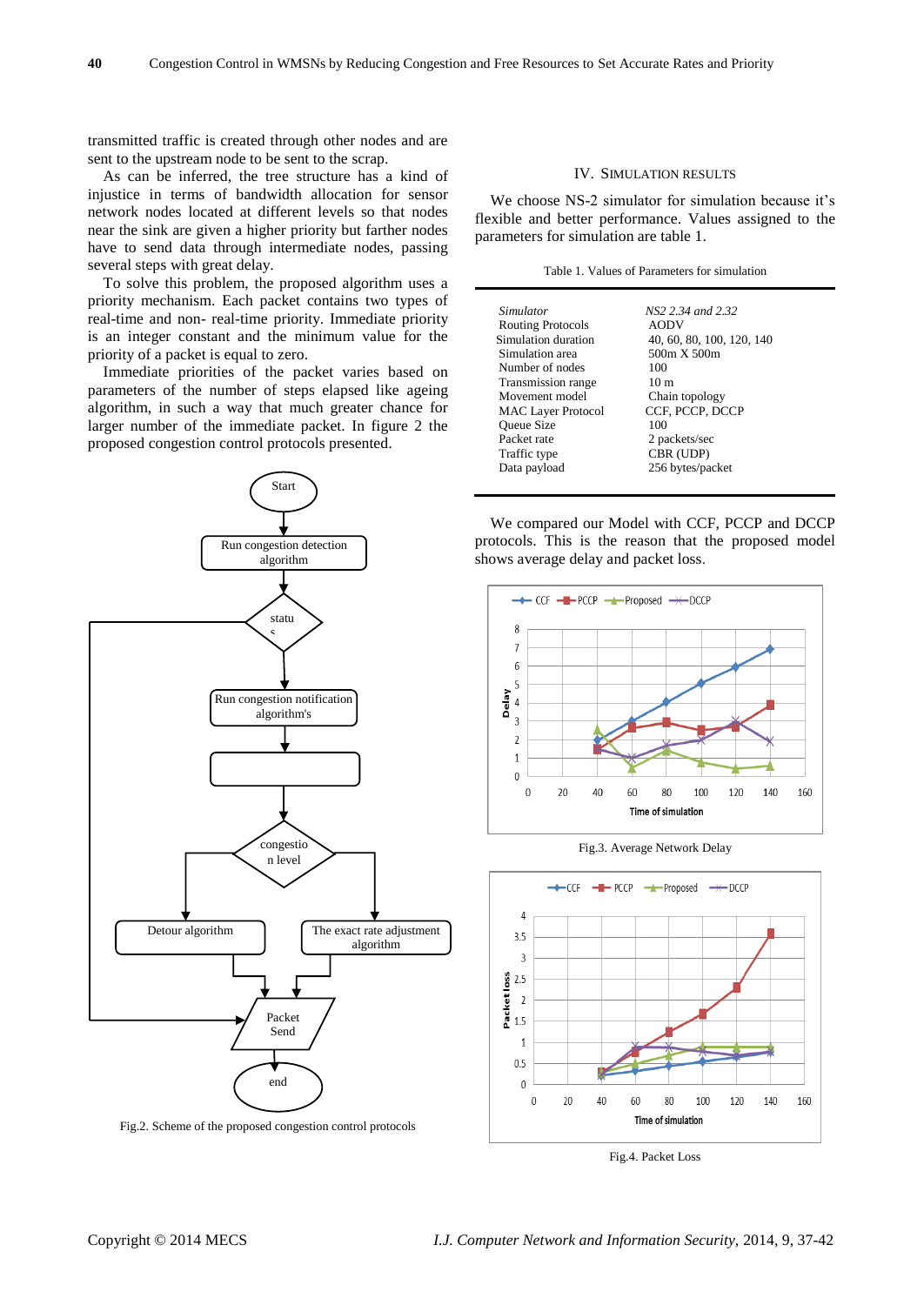transmitted traffic is created through other nodes and are sent to the upstream node to be sent to the scrap.

As can be inferred, the tree structure has a kind of injustice in terms of bandwidth allocation for sensor network nodes located at different levels so that nodes near the sink are given a higher priority but farther nodes have to send data through intermediate nodes, passing several steps with great delay.

To solve this problem, the proposed algorithm uses a priority mechanism. Each packet contains two types of real-time and non- real-time priority. Immediate priority is an integer constant and the minimum value for the priority of a packet is equal to zero.

Immediate priorities of the packet varies based on parameters of the number of steps elapsed like ageing algorithm, in such a way that much greater chance for larger number of the immediate packet. In figure 2 the proposed congestion control protocols presented.



Fig.2. Scheme of the proposed congestion control protocols

#### IV. SIMULATION RESULTS

We choose NS-2 simulator for simulation because it's flexible and better performance. Values assigned to the parameters for simulation are table 1.

Table 1. Values of Parameters for simulation

| Simulator                 | NS2 2.34 and 2.32         |
|---------------------------|---------------------------|
| <b>Routing Protocols</b>  | <b>AODV</b>               |
| Simulation duration       | 40, 60, 80, 100, 120, 140 |
| Simulation area           | 500m X 500m               |
| Number of nodes           | 100                       |
| Transmission range        | 10 <sub>m</sub>           |
| Movement model            | Chain topology            |
| <b>MAC Layer Protocol</b> | CCF, PCCP, DCCP           |
| <b>Oueue Size</b>         | 100                       |
| Packet rate               | 2 packets/sec             |
| Traffic type              | CBR (UDP)                 |
| Data payload              | 256 bytes/packet          |
|                           |                           |

We compared our Model with CCF, PCCP and DCCP protocols. This is the reason that the proposed model shows average delay and packet loss.



Fig.3. Average Network Delay



Fig.4. Packet Loss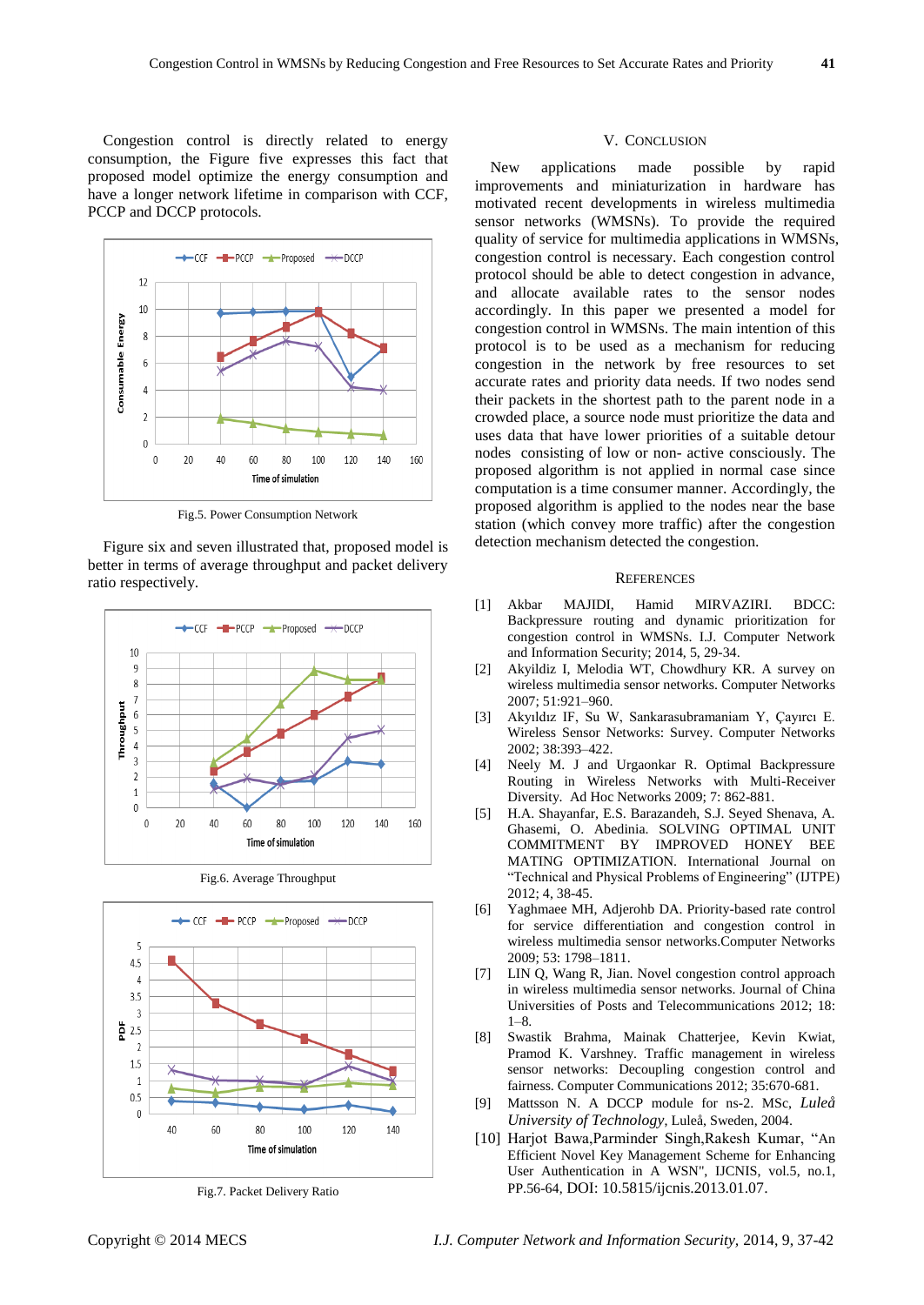Congestion control is directly related to energy consumption, the Figure five expresses this fact that proposed model optimize the energy consumption and have a longer network lifetime in comparison with CCF, PCCP and DCCP protocols.



Fig.5. Power Consumption Network

Figure six and seven illustrated that, proposed model is better in terms of average throughput and packet delivery ratio respectively.



Fig.6. Average Throughput



Fig.7. Packet Delivery Ratio

#### V. CONCLUSION

New applications made possible by rapid improvements and miniaturization in hardware has motivated recent developments in wireless multimedia sensor networks (WMSNs). To provide the required quality of service for multimedia applications in WMSNs, congestion control is necessary. Each congestion control protocol should be able to detect congestion in advance, and allocate available rates to the sensor nodes accordingly. In this paper we presented a model for congestion control in WMSNs. The main intention of this protocol is to be used as a mechanism for reducing congestion in the network by free resources to set accurate rates and priority data needs. If two nodes send their packets in the shortest path to the parent node in a crowded place, a source node must prioritize the data and uses data that have lower priorities of a suitable detour nodes consisting of low or non- active consciously. The proposed algorithm is not applied in normal case since computation is a time consumer manner. Accordingly, the proposed algorithm is applied to the nodes near the base station (which convey more traffic) after the congestion detection mechanism detected the congestion.

#### **REFERENCES**

- [1] Akbar MAJIDI, Hamid MIRVAZIRI. BDCC: Backpressure routing and dynamic prioritization for congestion control in WMSNs. I.J. Computer Network and Information Security; 2014, 5, 29-34.
- [2] Akyildiz I, Melodia WT, Chowdhury KR. A survey on wireless multimedia sensor networks. Computer Networks 2007; 51:921–960.
- [3] Akyıldız IF, Su W, Sankarasubramaniam Y, Çayırcı E. Wireless Sensor Networks: Survey. Computer Networks 2002; 38:393–422.
- [4] Neely M. J and Urgaonkar R. Optimal Backpressure Routing in Wireless Networks with Multi-Receiver Diversity. Ad Hoc Networks 2009; 7: 862-881.
- [5] H.A. Shayanfar, E.S. Barazandeh, S.J. Seyed Shenava, A. Ghasemi, O. Abedinia. SOLVING OPTIMAL UNIT COMMITMENT BY IMPROVED HONEY BEE MATING OPTIMIZATION. International Journal on "Technical and Physical Problems of Engineering" (IJTPE) 2012; 4, 38-45.
- [6] Yaghmaee MH, Adjerohb DA. Priority-based rate control for service differentiation and congestion control in wireless multimedia sensor networks.Computer Networks 2009; 53: 1798–1811.
- [7] LIN Q, Wang R, Jian. Novel congestion control approach in wireless multimedia sensor networks. Journal of China Universities of Posts and Telecommunications 2012; 18: 1–8.
- [8] Swastik Brahma, Mainak Chatterjee, Kevin Kwiat, Pramod K. Varshney. Traffic management in wireless sensor networks: Decoupling congestion control and fairness. Computer Communications 2012; 35:670-681.
- [9] Mattsson N. A DCCP module for ns-2. MSc, *[Luleå](https://www.google.com/url?sa=t&rct=j&q=&esrc=s&source=web&cd=1&cad=rja&ved=0CCwQFjAA&url=http%3A%2F%2Fwww.ltu.se%2F%3Fl%3Den&ei=A3OzUtKqLYLQ7Aax94H4BQ&usg=AFQjCNEQzG9n35gu9dFZxuE8WybAfOZ6DA&sig2=PFRCKV9Tk4Dq5Dg4Y39qGw)  [University of Technology](https://www.google.com/url?sa=t&rct=j&q=&esrc=s&source=web&cd=1&cad=rja&ved=0CCwQFjAA&url=http%3A%2F%2Fwww.ltu.se%2F%3Fl%3Den&ei=A3OzUtKqLYLQ7Aax94H4BQ&usg=AFQjCNEQzG9n35gu9dFZxuE8WybAfOZ6DA&sig2=PFRCKV9Tk4Dq5Dg4Y39qGw)*, Luleå, Sweden, 2004.
- [10] Harjot Bawa,Parminder Singh,Rakesh Kumar, "An Efficient Novel Key Management Scheme for Enhancing User Authentication in A WSN", IJCNIS, vol.5, no.1, PP.56-64, DOI: 10.5815/ijcnis.2013.01.07.